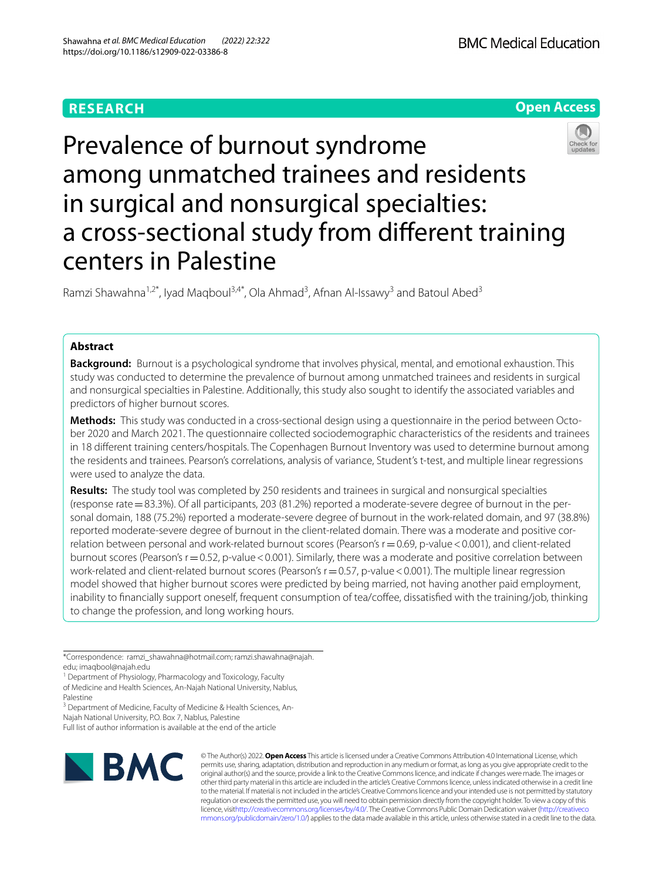## **RESEARCH**

**BMC Medical Education** 



# Prevalence of burnout syndrome among unmatched trainees and residents in surgical and nonsurgical specialties: a cross-sectional study from diferent training centers in Palestine

Ramzi Shawahna<sup>1,2\*</sup>, Iyad Maqboul<sup>3,4\*</sup>, Ola Ahmad<sup>3</sup>, Afnan Al-Issawy<sup>3</sup> and Batoul Abed<sup>3</sup>

## **Abstract**

**Background:** Burnout is a psychological syndrome that involves physical, mental, and emotional exhaustion. This study was conducted to determine the prevalence of burnout among unmatched trainees and residents in surgical and nonsurgical specialties in Palestine. Additionally, this study also sought to identify the associated variables and predictors of higher burnout scores.

**Methods:** This study was conducted in a cross-sectional design using a questionnaire in the period between October 2020 and March 2021. The questionnaire collected sociodemographic characteristics of the residents and trainees in 18 diferent training centers/hospitals. The Copenhagen Burnout Inventory was used to determine burnout among the residents and trainees. Pearson's correlations, analysis of variance, Student's t-test, and multiple linear regressions were used to analyze the data.

**Results:** The study tool was completed by 250 residents and trainees in surgical and nonsurgical specialties (response rate = 83.3%). Of all participants, 203 (81.2%) reported a moderate-severe degree of burnout in the personal domain, 188 (75.2%) reported a moderate-severe degree of burnout in the work-related domain, and 97 (38.8%) reported moderate-severe degree of burnout in the client-related domain. There was a moderate and positive correlation between personal and work-related burnout scores (Pearson's  $r = 0.69$ , p-value <0.001), and client-related burnout scores (Pearson's r = 0.52, p-value < 0.001). Similarly, there was a moderate and positive correlation between work-related and client-related burnout scores (Pearson's  $r = 0.57$ , p-value < 0.001). The multiple linear regression model showed that higher burnout scores were predicted by being married, not having another paid employment, inability to financially support oneself, frequent consumption of tea/coffee, dissatisfied with the training/job, thinking to change the profession, and long working hours.

\*Correspondence: ramzi\_shawahna@hotmail.com; ramzi.shawahna@najah.

edu; imaqbool@najah.edu

<sup>1</sup> Department of Physiology, Pharmacology and Toxicology, Faculty of Medicine and Health Sciences, An-Najah National University, Nablus, Palestine

<sup>3</sup> Department of Medicine, Faculty of Medicine & Health Sciences, An-

Najah National University, P.O. Box 7, Nablus, Palestine

Full list of author information is available at the end of the article



© The Author(s) 2022. **Open Access** This article is licensed under a Creative Commons Attribution 4.0 International License, which permits use, sharing, adaptation, distribution and reproduction in any medium or format, as long as you give appropriate credit to the original author(s) and the source, provide a link to the Creative Commons licence, and indicate if changes were made. The images or other third party material in this article are included in the article's Creative Commons licence, unless indicated otherwise in a credit line to the material. If material is not included in the article's Creative Commons licence and your intended use is not permitted by statutory regulation or exceeds the permitted use, you will need to obtain permission directly from the copyright holder. To view a copy of this licence, visi[thttp://creativecommons.org/licenses/by/4.0/](http://creativecommons.org/licenses/by/4.0/). The Creative Commons Public Domain Dedication waiver [\(http://creativeco](http://creativecommons.org/publicdomain/zero/1.0/) [mmons.org/publicdomain/zero/1.0/](http://creativecommons.org/publicdomain/zero/1.0/)) applies to the data made available in this article, unless otherwise stated in a credit line to the data.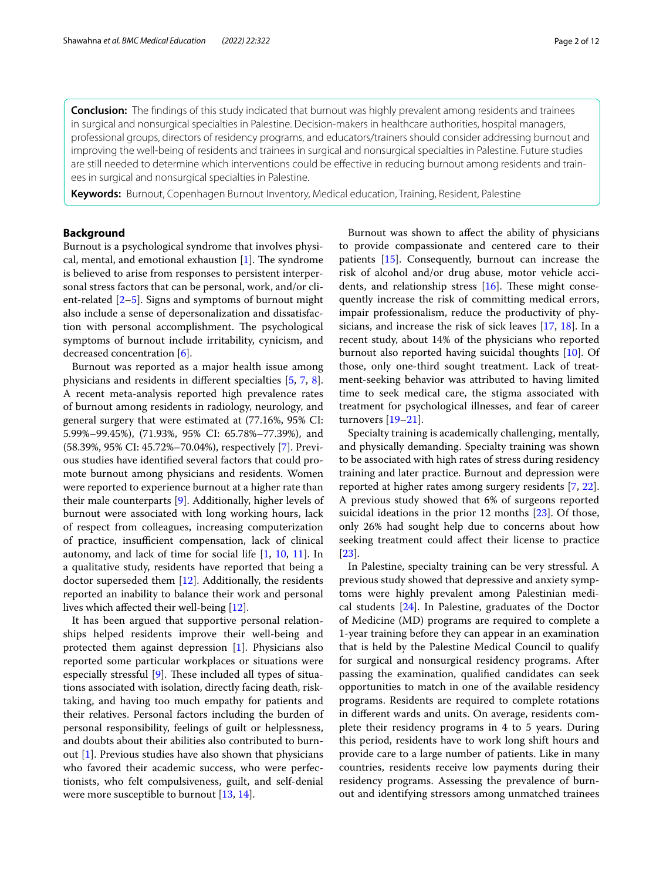**Conclusion:** The fndings of this study indicated that burnout was highly prevalent among residents and trainees in surgical and nonsurgical specialties in Palestine. Decision-makers in healthcare authorities, hospital managers, professional groups, directors of residency programs, and educators/trainers should consider addressing burnout and improving the well-being of residents and trainees in surgical and nonsurgical specialties in Palestine. Future studies are still needed to determine which interventions could be effective in reducing burnout among residents and trainees in surgical and nonsurgical specialties in Palestine.

**Keywords:** Burnout, Copenhagen Burnout Inventory, Medical education, Training, Resident, Palestine

## **Background**

Burnout is a psychological syndrome that involves physical, mental, and emotional exhaustion  $[1]$  $[1]$ . The syndrome is believed to arise from responses to persistent interpersonal stress factors that can be personal, work, and/or client-related  $[2-5]$  $[2-5]$ . Signs and symptoms of burnout might also include a sense of depersonalization and dissatisfaction with personal accomplishment. The psychological symptoms of burnout include irritability, cynicism, and decreased concentration [\[6](#page-10-3)].

Burnout was reported as a major health issue among physicians and residents in diferent specialties [\[5](#page-10-2), [7,](#page-10-4) [8](#page-10-5)]. A recent meta-analysis reported high prevalence rates of burnout among residents in radiology, neurology, and general surgery that were estimated at (77.16%, 95% CI: 5.99%–99.45%), (71.93%, 95% CI: 65.78%–77.39%), and (58.39%, 95% CI: 45.72%–70.04%), respectively [[7\]](#page-10-4). Previous studies have identifed several factors that could promote burnout among physicians and residents. Women were reported to experience burnout at a higher rate than their male counterparts [[9\]](#page-10-6). Additionally, higher levels of burnout were associated with long working hours, lack of respect from colleagues, increasing computerization of practice, insufficient compensation, lack of clinical autonomy, and lack of time for social life [[1,](#page-10-0) [10](#page-11-0), [11\]](#page-11-1). In a qualitative study, residents have reported that being a doctor superseded them [[12\]](#page-11-2). Additionally, the residents reported an inability to balance their work and personal lives which afected their well-being [\[12](#page-11-2)].

It has been argued that supportive personal relationships helped residents improve their well-being and protected them against depression [\[1](#page-10-0)]. Physicians also reported some particular workplaces or situations were especially stressful  $[9]$  $[9]$ . These included all types of situations associated with isolation, directly facing death, risktaking, and having too much empathy for patients and their relatives. Personal factors including the burden of personal responsibility, feelings of guilt or helplessness, and doubts about their abilities also contributed to burnout [\[1](#page-10-0)]. Previous studies have also shown that physicians who favored their academic success, who were perfectionists, who felt compulsiveness, guilt, and self-denial were more susceptible to burnout [\[13](#page-11-3), [14\]](#page-11-4).

Burnout was shown to afect the ability of physicians to provide compassionate and centered care to their patients [[15](#page-11-5)]. Consequently, burnout can increase the risk of alcohol and/or drug abuse, motor vehicle accidents, and relationship stress  $[16]$  $[16]$ . These might consequently increase the risk of committing medical errors, impair professionalism, reduce the productivity of physicians, and increase the risk of sick leaves [\[17](#page-11-7), [18\]](#page-11-8). In a recent study, about 14% of the physicians who reported burnout also reported having suicidal thoughts [\[10\]](#page-11-0). Of those, only one-third sought treatment. Lack of treatment-seeking behavior was attributed to having limited time to seek medical care, the stigma associated with treatment for psychological illnesses, and fear of career turnovers [[19](#page-11-9)[–21](#page-11-10)].

Specialty training is academically challenging, mentally, and physically demanding. Specialty training was shown to be associated with high rates of stress during residency training and later practice. Burnout and depression were reported at higher rates among surgery residents [\[7](#page-10-4), [22](#page-11-11)]. A previous study showed that 6% of surgeons reported suicidal ideations in the prior 12 months [[23\]](#page-11-12). Of those, only 26% had sought help due to concerns about how seeking treatment could afect their license to practice [[23\]](#page-11-12).

In Palestine, specialty training can be very stressful. A previous study showed that depressive and anxiety symptoms were highly prevalent among Palestinian medical students [[24\]](#page-11-13). In Palestine, graduates of the Doctor of Medicine (MD) programs are required to complete a 1-year training before they can appear in an examination that is held by the Palestine Medical Council to qualify for surgical and nonsurgical residency programs. After passing the examination, qualifed candidates can seek opportunities to match in one of the available residency programs. Residents are required to complete rotations in diferent wards and units. On average, residents complete their residency programs in 4 to 5 years. During this period, residents have to work long shift hours and provide care to a large number of patients. Like in many countries, residents receive low payments during their residency programs. Assessing the prevalence of burnout and identifying stressors among unmatched trainees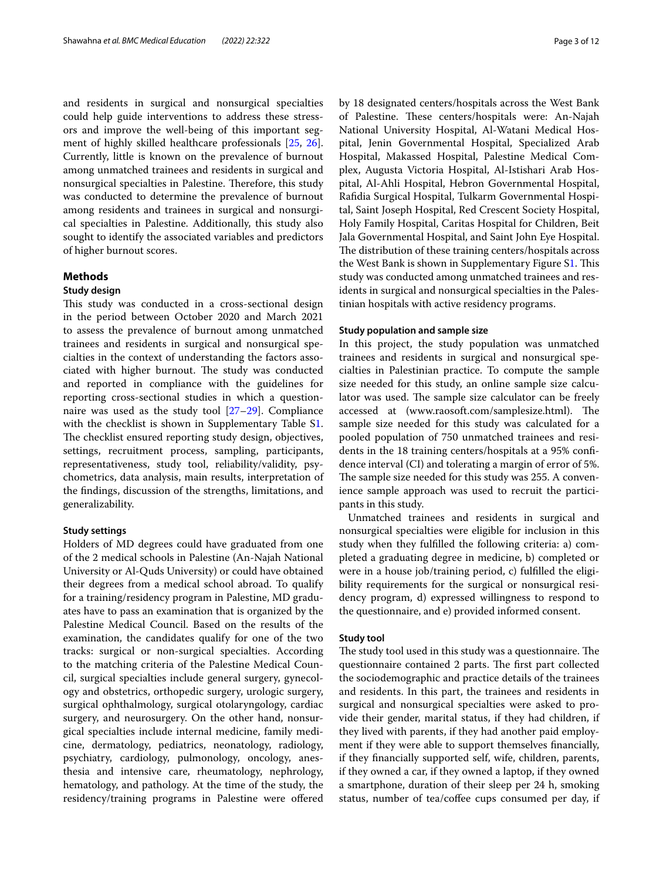and residents in surgical and nonsurgical specialties could help guide interventions to address these stressors and improve the well-being of this important segment of highly skilled healthcare professionals [\[25](#page-11-14), [26](#page-11-15)]. Currently, little is known on the prevalence of burnout among unmatched trainees and residents in surgical and nonsurgical specialties in Palestine. Therefore, this study was conducted to determine the prevalence of burnout among residents and trainees in surgical and nonsurgical specialties in Palestine. Additionally, this study also sought to identify the associated variables and predictors of higher burnout scores.

## **Methods**

## **Study design**

This study was conducted in a cross-sectional design in the period between October 2020 and March 2021 to assess the prevalence of burnout among unmatched trainees and residents in surgical and nonsurgical specialties in the context of understanding the factors associated with higher burnout. The study was conducted and reported in compliance with the guidelines for reporting cross-sectional studies in which a questionnaire was used as the study tool [[27–](#page-11-16)[29](#page-11-17)]. Compliance with the checklist is shown in Supplementary Table [S1](#page-10-7). The checklist ensured reporting study design, objectives, settings, recruitment process, sampling, participants, representativeness, study tool, reliability/validity, psychometrics, data analysis, main results, interpretation of the fndings, discussion of the strengths, limitations, and generalizability.

## **Study settings**

Holders of MD degrees could have graduated from one of the 2 medical schools in Palestine (An-Najah National University or Al-Quds University) or could have obtained their degrees from a medical school abroad. To qualify for a training/residency program in Palestine, MD graduates have to pass an examination that is organized by the Palestine Medical Council. Based on the results of the examination, the candidates qualify for one of the two tracks: surgical or non-surgical specialties. According to the matching criteria of the Palestine Medical Council, surgical specialties include general surgery, gynecology and obstetrics, orthopedic surgery, urologic surgery, surgical ophthalmology, surgical otolaryngology, cardiac surgery, and neurosurgery. On the other hand, nonsurgical specialties include internal medicine, family medicine, dermatology, pediatrics, neonatology, radiology, psychiatry, cardiology, pulmonology, oncology, anesthesia and intensive care, rheumatology, nephrology, hematology, and pathology. At the time of the study, the residency/training programs in Palestine were offered by 18 designated centers/hospitals across the West Bank of Palestine. These centers/hospitals were: An-Najah National University Hospital, Al-Watani Medical Hospital, Jenin Governmental Hospital, Specialized Arab Hospital, Makassed Hospital, Palestine Medical Complex, Augusta Victoria Hospital, Al-Istishari Arab Hospital, Al-Ahli Hospital, Hebron Governmental Hospital, Rafdia Surgical Hospital, Tulkarm Governmental Hospital, Saint Joseph Hospital, Red Crescent Society Hospital, Holy Family Hospital, Caritas Hospital for Children, Beit Jala Governmental Hospital, and Saint John Eye Hospital. The distribution of these training centers/hospitals across the West Bank is shown in Supplementary Figure S[1.](#page-10-7) This study was conducted among unmatched trainees and residents in surgical and nonsurgical specialties in the Palestinian hospitals with active residency programs.

#### **Study population and sample size**

In this project, the study population was unmatched trainees and residents in surgical and nonsurgical specialties in Palestinian practice. To compute the sample size needed for this study, an online sample size calculator was used. The sample size calculator can be freely accessed at (www.raosoft.com/samplesize.html). The sample size needed for this study was calculated for a pooled population of 750 unmatched trainees and residents in the 18 training centers/hospitals at a 95% confdence interval (CI) and tolerating a margin of error of 5%. The sample size needed for this study was 255. A convenience sample approach was used to recruit the participants in this study.

Unmatched trainees and residents in surgical and nonsurgical specialties were eligible for inclusion in this study when they fulflled the following criteria: a) completed a graduating degree in medicine, b) completed or were in a house job/training period, c) fulflled the eligibility requirements for the surgical or nonsurgical residency program, d) expressed willingness to respond to the questionnaire, and e) provided informed consent.

#### **Study tool**

The study tool used in this study was a questionnaire. The questionnaire contained 2 parts. The first part collected the sociodemographic and practice details of the trainees and residents. In this part, the trainees and residents in surgical and nonsurgical specialties were asked to provide their gender, marital status, if they had children, if they lived with parents, if they had another paid employment if they were able to support themselves fnancially, if they fnancially supported self, wife, children, parents, if they owned a car, if they owned a laptop, if they owned a smartphone, duration of their sleep per 24 h, smoking status, number of tea/coffee cups consumed per day, if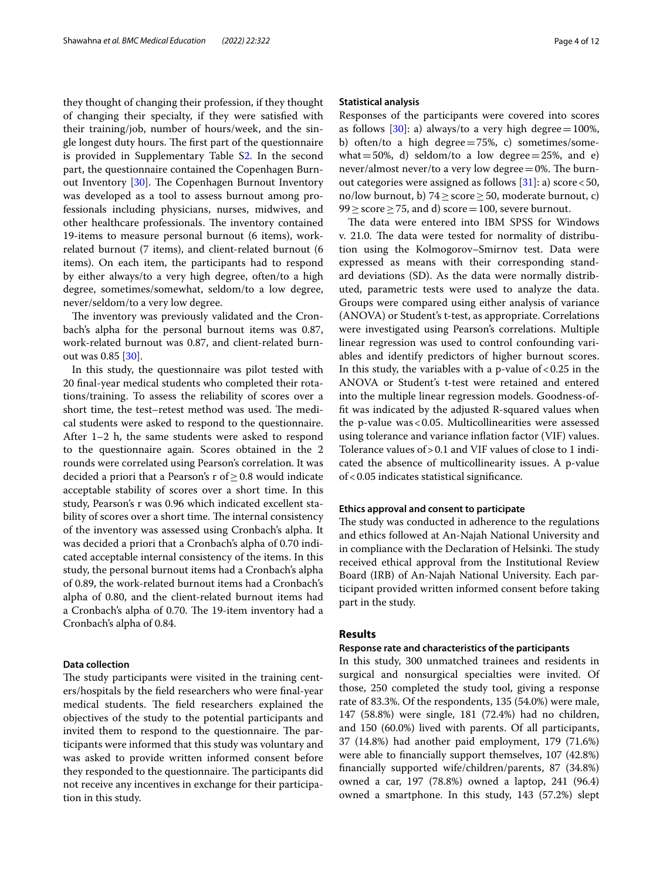they thought of changing their profession, if they thought of changing their specialty, if they were satisfed with their training/job, number of hours/week, and the single longest duty hours. The first part of the questionnaire is provided in Supplementary Table S[2](#page-10-7). In the second part, the questionnaire contained the Copenhagen Burn-out Inventory [\[30](#page-11-18)]. The Copenhagen Burnout Inventory was developed as a tool to assess burnout among professionals including physicians, nurses, midwives, and other healthcare professionals. The inventory contained 19-items to measure personal burnout (6 items), workrelated burnout (7 items), and client-related burnout (6 items). On each item, the participants had to respond by either always/to a very high degree, often/to a high degree, sometimes/somewhat, seldom/to a low degree, never/seldom/to a very low degree.

The inventory was previously validated and the Cronbach's alpha for the personal burnout items was 0.87, work-related burnout was 0.87, and client-related burnout was 0.85 [[30\]](#page-11-18).

In this study, the questionnaire was pilot tested with 20 fnal-year medical students who completed their rotations/training. To assess the reliability of scores over a short time, the test–retest method was used. The medical students were asked to respond to the questionnaire. After 1–2 h, the same students were asked to respond to the questionnaire again. Scores obtained in the 2 rounds were correlated using Pearson's correlation. It was decided a priori that a Pearson's r of  $\geq$  0.8 would indicate acceptable stability of scores over a short time. In this study, Pearson's r was 0.96 which indicated excellent stability of scores over a short time. The internal consistency of the inventory was assessed using Cronbach's alpha. It was decided a priori that a Cronbach's alpha of 0.70 indicated acceptable internal consistency of the items. In this study, the personal burnout items had a Cronbach's alpha of 0.89, the work-related burnout items had a Cronbach's alpha of 0.80, and the client-related burnout items had a Cronbach's alpha of 0.70. The 19-item inventory had a Cronbach's alpha of 0.84.

## **Data collection**

The study participants were visited in the training centers/hospitals by the feld researchers who were fnal-year medical students. The field researchers explained the objectives of the study to the potential participants and invited them to respond to the questionnaire. The participants were informed that this study was voluntary and was asked to provide written informed consent before they responded to the questionnaire. The participants did not receive any incentives in exchange for their participation in this study.

#### **Statistical analysis**

Responses of the participants were covered into scores as follows [[30\]](#page-11-18): a) always/to a very high degree =  $100\%$ , b) often/to a high degree $=75%$ , c) sometimes/somewhat  $=50\%$ , d) seldom/to a low degree $=25\%$ , and e) never/almost never/to a very low degree $=0$ %. The burnout categories were assigned as follows  $[31]$  $[31]$ : a) score < 50, no/low burnout, b) 74≥score≥50, moderate burnout, c)  $99 >$ score $>$ 75, and d) score=100, severe burnout.

The data were entered into IBM SPSS for Windows v. 21.0. The data were tested for normality of distribution using the Kolmogorov–Smirnov test. Data were expressed as means with their corresponding standard deviations (SD). As the data were normally distributed, parametric tests were used to analyze the data. Groups were compared using either analysis of variance (ANOVA) or Student's t-test, as appropriate. Correlations were investigated using Pearson's correlations. Multiple linear regression was used to control confounding variables and identify predictors of higher burnout scores. In this study, the variables with a p-value of  $< 0.25$  in the ANOVA or Student's t-test were retained and entered into the multiple linear regression models. Goodness-offt was indicated by the adjusted R-squared values when the p-value was<0.05. Multicollinearities were assessed using tolerance and variance infation factor (VIF) values. Tolerance values of>0.1 and VIF values of close to 1 indicated the absence of multicollinearity issues. A p-value of<0.05 indicates statistical signifcance.

#### **Ethics approval and consent to participate**

The study was conducted in adherence to the regulations and ethics followed at An-Najah National University and in compliance with the Declaration of Helsinki. The study received ethical approval from the Institutional Review Board (IRB) of An-Najah National University. Each participant provided written informed consent before taking part in the study.

## **Results**

#### **Response rate and characteristics of the participants**

In this study, 300 unmatched trainees and residents in surgical and nonsurgical specialties were invited. Of those, 250 completed the study tool, giving a response rate of 83.3%. Of the respondents, 135 (54.0%) were male, 147 (58.8%) were single, 181 (72.4%) had no children, and 150 (60.0%) lived with parents. Of all participants, 37 (14.8%) had another paid employment, 179 (71.6%) were able to fnancially support themselves, 107 (42.8%) fnancially supported wife/children/parents, 87 (34.8%) owned a car, 197 (78.8%) owned a laptop, 241 (96.4) owned a smartphone. In this study, 143 (57.2%) slept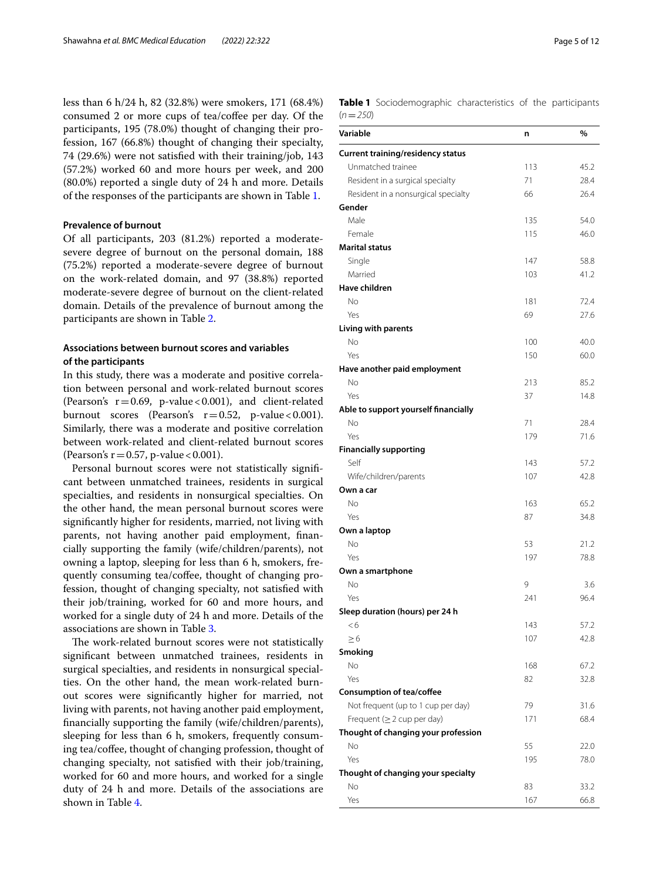less than 6 h/24 h, 82 (32.8%) were smokers, 171 (68.4%) consumed 2 or more cups of tea/cofee per day. Of the participants, 195 (78.0%) thought of changing their profession, 167 (66.8%) thought of changing their specialty, 74 (29.6%) were not satisfed with their training/job, 143 (57.2%) worked 60 and more hours per week, and 200 (80.0%) reported a single duty of 24 h and more. Details of the responses of the participants are shown in Table [1.](#page-4-0)

## **Prevalence of burnout**

Of all participants, 203 (81.2%) reported a moderatesevere degree of burnout on the personal domain, 188 (75.2%) reported a moderate-severe degree of burnout on the work-related domain, and 97 (38.8%) reported moderate-severe degree of burnout on the client-related domain. Details of the prevalence of burnout among the participants are shown in Table [2.](#page-5-0)

## **Associations between burnout scores and variables of the participants**

In this study, there was a moderate and positive correlation between personal and work-related burnout scores (Pearson's  $r = 0.69$ , p-value < 0.001), and client-related burnout scores (Pearson's  $r=0.52$ , p-value < 0.001). Similarly, there was a moderate and positive correlation between work-related and client-related burnout scores (Pearson's  $r = 0.57$ , p-value < 0.001).

Personal burnout scores were not statistically signifcant between unmatched trainees, residents in surgical specialties, and residents in nonsurgical specialties. On the other hand, the mean personal burnout scores were signifcantly higher for residents, married, not living with parents, not having another paid employment, fnancially supporting the family (wife/children/parents), not owning a laptop, sleeping for less than 6 h, smokers, frequently consuming tea/coffee, thought of changing profession, thought of changing specialty, not satisfed with their job/training, worked for 60 and more hours, and worked for a single duty of 24 h and more. Details of the associations are shown in Table [3](#page-5-1).

The work-related burnout scores were not statistically signifcant between unmatched trainees, residents in surgical specialties, and residents in nonsurgical specialties. On the other hand, the mean work-related burnout scores were signifcantly higher for married, not living with parents, not having another paid employment, fnancially supporting the family (wife/children/parents), sleeping for less than 6 h, smokers, frequently consuming tea/coffee, thought of changing profession, thought of changing specialty, not satisfed with their job/training, worked for 60 and more hours, and worked for a single duty of 24 h and more. Details of the associations are shown in Table [4.](#page-6-0)

<span id="page-4-0"></span>**Table 1** Sociodemographic characteristics of the participants (*n*=*250*)

| Variable                             | n        | %    |
|--------------------------------------|----------|------|
| Current training/residency status    |          |      |
| Unmatched trainee                    | 113      | 45.2 |
| Resident in a surgical specialty     | 71       | 28.4 |
| Resident in a nonsurgical specialty  | 66       | 26.4 |
| Gender                               |          |      |
| Male                                 | 135      | 54.0 |
| Female                               | 115      | 46.0 |
| <b>Marital status</b>                |          |      |
| Single                               | 147      | 58.8 |
| Married                              | 103      | 41.2 |
| <b>Have children</b>                 |          |      |
| No                                   | 181      | 72.4 |
| Yes                                  | 69       | 27.6 |
| Living with parents                  |          |      |
| No                                   | 100      | 40.0 |
| Yes                                  | 150      | 60.0 |
| Have another paid employment         |          |      |
| No                                   | 213      | 85.2 |
| Yes                                  | 37       | 14.8 |
| Able to support yourself financially |          |      |
| No                                   | 71       | 28.4 |
| Yes                                  | 179      | 71.6 |
| <b>Financially supporting</b>        |          |      |
| Self                                 | 143      | 57.2 |
| Wife/children/parents                | 107      | 42.8 |
| Own a car                            |          |      |
| No                                   | 163      | 65.2 |
| Yes                                  | 87       | 34.8 |
| Own a laptop                         |          |      |
| No                                   | 53       | 21.2 |
| Yes                                  | 197      | 78.8 |
| Own a smartphone                     |          |      |
| No<br>Yes                            | 9<br>241 | 3.6  |
| Sleep duration (hours) per 24 h      |          | 96.4 |
| <6                                   | 143      | 57.2 |
| $\geq 6$                             | 107      | 42.8 |
| Smoking                              |          |      |
| No                                   | 168      | 67.2 |
| Yes                                  | 82       | 32.8 |
| <b>Consumption of tea/coffee</b>     |          |      |
| Not frequent (up to 1 cup per day)   | 79       | 31.6 |
| Frequent $( \geq 2$ cup per day)     | 171      | 68.4 |
| Thought of changing your profession  |          |      |
| No                                   | 55       | 22.0 |
| Yes                                  | 195      | 78.0 |
| Thought of changing your specialty   |          |      |
| No                                   | 83       | 33.2 |
| Yes                                  | 167      | 66.8 |
|                                      |          |      |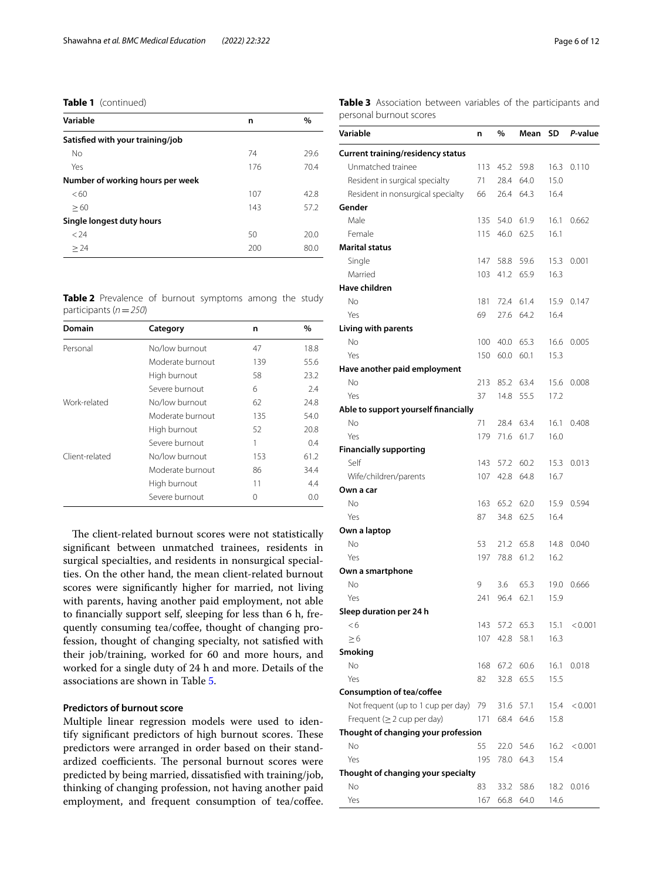## **Table 1** (continued)

| Variable                         | n   | $\%$ |
|----------------------------------|-----|------|
| Satisfied with your training/job |     |      |
| No                               | 74  | 29.6 |
| Yes                              | 176 | 70.4 |
| Number of working hours per week |     |      |
| <60                              | 107 | 42.8 |
| >60                              | 143 | 57.2 |
| Single longest duty hours        |     |      |
| 324                              | 50  | 20.0 |
| > 24                             | 200 | 80.0 |

<span id="page-5-0"></span>**Table 2** Prevalence of burnout symptoms among the study participants (*n*=*250*)

| Domain         | Category         | n   | %    |
|----------------|------------------|-----|------|
| Personal       | No/low burnout   | 47  | 18.8 |
|                | Moderate burnout | 139 | 55.6 |
|                | High burnout     | 58  | 23.2 |
|                | Severe burnout   | 6   | 2.4  |
| Work-related   | No/low burnout   | 62  | 24.8 |
|                | Moderate burnout | 135 | 54.0 |
|                | High burnout     | 52  | 20.8 |
|                | Severe burnout   |     | 0.4  |
| Client-related | No/low burnout   | 153 | 61.2 |
|                | Moderate burnout | 86  | 34.4 |
|                | High burnout     | 11  | 4.4  |
|                | Severe burnout   | ∩   | 0.0  |

The client-related burnout scores were not statistically signifcant between unmatched trainees, residents in surgical specialties, and residents in nonsurgical specialties. On the other hand, the mean client-related burnout scores were signifcantly higher for married, not living with parents, having another paid employment, not able to fnancially support self, sleeping for less than 6 h, frequently consuming tea/coffee, thought of changing profession, thought of changing specialty, not satisfed with their job/training, worked for 60 and more hours, and worked for a single duty of 24 h and more. Details of the associations are shown in Table [5](#page-7-0).

## **Predictors of burnout score**

Multiple linear regression models were used to identify significant predictors of high burnout scores. These predictors were arranged in order based on their standardized coefficients. The personal burnout scores were predicted by being married, dissatisfed with training/job, thinking of changing profession, not having another paid employment, and frequent consumption of tea/coffee.

<span id="page-5-1"></span>**Table 3** Association between variables of the participants and personal burnout scores

| Variable                                 | n   | %    | Mean      | SD   | P-value |
|------------------------------------------|-----|------|-----------|------|---------|
| <b>Current training/residency status</b> |     |      |           |      |         |
| Unmatched trainee                        | 113 | 45.2 | 59.8      | 16.3 | 0.110   |
| Resident in surgical specialty           | 71  | 28.4 | 64.0      | 15.0 |         |
| Resident in nonsurgical specialty        | 66  | 26.4 | 64.3      | 16.4 |         |
| Gender                                   |     |      |           |      |         |
| Male                                     | 135 | 54.0 | 61.9      | 16.1 | 0.662   |
| Female                                   | 115 | 46.0 | 62.5      | 16.1 |         |
| <b>Marital status</b>                    |     |      |           |      |         |
| Single                                   | 147 | 58.8 | 59.6      | 15.3 | 0.001   |
| Married                                  | 103 | 41.2 | 65.9      | 16.3 |         |
| Have children                            |     |      |           |      |         |
| No                                       | 181 | 72.4 | 61.4      | 15.9 | 0.147   |
| Yes                                      | 69  | 27.6 | 64.2      | 16.4 |         |
| Living with parents                      |     |      |           |      |         |
| No                                       | 100 | 40.0 | 65.3      | 16.6 | 0.005   |
| Yes                                      | 150 | 60.0 | 60.1      | 15.3 |         |
| Have another paid employment             |     |      |           |      |         |
| No                                       | 213 | 85.2 | 63.4      | 15.6 | 0.008   |
| Yes                                      | 37  | 14.8 | 55.5      | 17.2 |         |
| Able to support yourself financially     |     |      |           |      |         |
| No                                       | 71  | 28.4 | 63.4      | 16.1 | 0.408   |
| Yes                                      | 179 | 71.6 | 61.7      | 16.0 |         |
| <b>Financially supporting</b>            |     |      |           |      |         |
| Self                                     | 143 | 57.2 | 60.2      | 15.3 | 0.013   |
| Wife/children/parents                    | 107 | 42.8 | 64.8      | 16.7 |         |
| Own a car                                |     |      |           |      |         |
| No                                       | 163 | 65.2 | 62.0      | 15.9 | 0.594   |
| Yes                                      | 87  | 34.8 | 62.5      | 16.4 |         |
| Own a laptop                             |     |      |           |      |         |
| No                                       | 53  | 21.2 | 65.8      | 14.8 | 0.040   |
| Yes                                      | 197 | 78.8 | 61.2      | 16.2 |         |
| Own a smartphone                         |     |      |           |      |         |
| No                                       | 9   | 3.6  | 65.3      | 19.0 | 0.666   |
| Yes                                      | 241 | 96.4 | 62.1      | 15.9 |         |
| Sleep duration per 24 h                  |     |      |           |      |         |
| < 6                                      | 143 |      | 57.2 65.3 | 15.1 | < 0.001 |
| $\geq 6$                                 | 107 | 42.8 | 58.1      | 16.3 |         |
| Smoking                                  |     |      |           |      |         |
| No                                       | 168 | 67.2 | 60.6      | 16.1 | 0.018   |
| Yes                                      | 82  | 32.8 | 65.5      | 15.5 |         |
| <b>Consumption of tea/coffee</b>         |     |      |           |      |         |
| Not frequent (up to 1 cup per day)       | 79  | 31.6 | 57.1      | 15.4 | < 0.001 |
| Frequent $( \geq 2$ cup per day)         | 171 | 68.4 | 64.6      | 15.8 |         |
| Thought of changing your profession      |     |      |           |      |         |
| No                                       | 55  |      |           | 16.2 |         |
|                                          |     | 22.0 | 54.6      |      | < 0.001 |
| Yes                                      | 195 | 78.0 | 64.3      | 15.4 |         |
| Thought of changing your specialty       |     |      |           |      |         |
| No                                       | 83  | 33.2 | 58.6      | 18.2 | 0.016   |
| Yes                                      | 167 | 66.8 | 64.0      | 14.6 |         |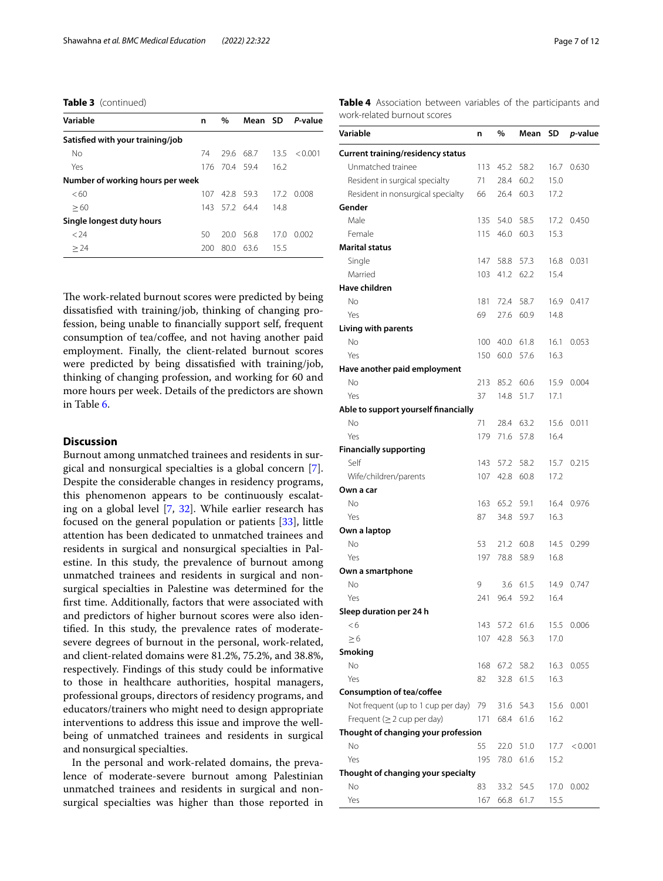**Table 3** (continued)

| Variable                         | n    | $\%$          |           |      | Mean SD P-value |
|----------------------------------|------|---------------|-----------|------|-----------------|
| Satisfied with your training/job |      |               |           |      |                 |
| No                               | 74   |               | 29.6 68.7 | 13.5 | < 0.001         |
| Yes                              |      | 176 70.4 59.4 |           | 16.2 |                 |
| Number of working hours per week |      |               |           |      |                 |
| <60                              | 107. | 428 593       |           | 17.2 | 0.008           |
| >60                              | 143. | 57.2 64.4     |           | 14.8 |                 |
| Single longest duty hours        |      |               |           |      |                 |
| < 24                             | 50   | 20.0          | -56.8     | 17.0 | 0.002           |
| > 24                             | 200. | 80.0          | 63.6      | 15.5 |                 |

The work-related burnout scores were predicted by being dissatisfed with training/job, thinking of changing profession, being unable to fnancially support self, frequent consumption of tea/coffee, and not having another paid employment. Finally, the client-related burnout scores were predicted by being dissatisfed with training/job, thinking of changing profession, and working for 60 and more hours per week. Details of the predictors are shown in Table [6](#page-9-0).

## **Discussion**

Burnout among unmatched trainees and residents in surgical and nonsurgical specialties is a global concern [\[7](#page-10-4)]. Despite the considerable changes in residency programs, this phenomenon appears to be continuously escalating on a global level [[7,](#page-10-4) [32\]](#page-11-20). While earlier research has focused on the general population or patients [[33](#page-11-21)], little attention has been dedicated to unmatched trainees and residents in surgical and nonsurgical specialties in Palestine. In this study, the prevalence of burnout among unmatched trainees and residents in surgical and nonsurgical specialties in Palestine was determined for the frst time. Additionally, factors that were associated with and predictors of higher burnout scores were also identifed. In this study, the prevalence rates of moderatesevere degrees of burnout in the personal, work-related, and client-related domains were 81.2%, 75.2%, and 38.8%, respectively. Findings of this study could be informative to those in healthcare authorities, hospital managers, professional groups, directors of residency programs, and educators/trainers who might need to design appropriate interventions to address this issue and improve the wellbeing of unmatched trainees and residents in surgical and nonsurgical specialties.

In the personal and work-related domains, the prevalence of moderate-severe burnout among Palestinian unmatched trainees and residents in surgical and nonsurgical specialties was higher than those reported in <span id="page-6-0"></span>**Table 4** Association between variables of the participants and work-related burnout scores

| Variable                                 | n   | %    | Mean | SD   | <i>p</i> -value |
|------------------------------------------|-----|------|------|------|-----------------|
| <b>Current training/residency status</b> |     |      |      |      |                 |
| Unmatched trainee                        | 113 | 45.2 | 58.2 | 16.7 | 0.630           |
| Resident in surgical specialty           | 71  | 28.4 | 60.2 | 15.0 |                 |
| Resident in nonsurgical specialty        | 66  | 26.4 | 60.3 | 17.2 |                 |
| Gender                                   |     |      |      |      |                 |
| Male                                     | 135 | 54.0 | 58.5 | 17.2 | 0.450           |
| Female                                   | 115 | 46.0 | 60.3 | 15.3 |                 |
| <b>Marital status</b>                    |     |      |      |      |                 |
| Single                                   | 147 | 58.8 | 57.3 | 16.8 | 0.031           |
| Married                                  | 103 | 41.2 | 62.2 | 15.4 |                 |
| Have children                            |     |      |      |      |                 |
| No                                       | 181 | 72.4 | 58.7 | 16.9 | 0.417           |
| Yes                                      | 69  | 27.6 | 60.9 | 14.8 |                 |
| Living with parents                      |     |      |      |      |                 |
| No                                       | 100 | 40.0 | 61.8 | 16.1 | 0.053           |
| Yes                                      | 150 | 60.0 | 57.6 | 16.3 |                 |
| Have another paid employment             |     |      |      |      |                 |
| Νo                                       | 213 | 85.2 | 60.6 | 15.9 | 0.004           |
| Yes                                      | 37  | 14.8 | 51.7 | 17.1 |                 |
| Able to support yourself financially     |     |      |      |      |                 |
| No                                       | 71  | 28.4 | 63.2 | 15.6 | 0.011           |
| Yes                                      | 179 | 71.6 | 57.8 | 16.4 |                 |
| <b>Financially supporting</b>            |     |      |      |      |                 |
| Self                                     | 143 | 57.2 | 58.2 | 15.7 | 0.215           |
| Wife/children/parents                    | 107 | 42.8 | 60.8 | 17.2 |                 |
| Own a car                                |     |      |      |      |                 |
| No                                       | 163 | 65.2 | 59.1 | 16.4 | 0.976           |
| Yes                                      | 87  | 34.8 | 59.7 | 16.3 |                 |
| Own a laptop                             |     |      |      |      |                 |
| No                                       | 53  | 21.2 | 60.8 | 14.5 | 0.299           |
| Yes                                      | 197 | 78.8 | 58.9 | 16.8 |                 |
| Own a smartphone                         |     |      |      |      |                 |
| No                                       | 9   | 3.6  | 61.5 | 14.9 | 0.747           |
| Yes                                      | 241 | 96.4 | 59.2 | 16.4 |                 |
| Sleep duration per 24 h                  |     |      |      |      |                 |
| <6                                       | 143 | 57.2 | 61.6 | 15.5 | 0.006           |
| $\geq 6$                                 | 107 | 42.8 | 56.3 | 17.0 |                 |
| Smoking                                  |     |      |      |      |                 |
| No                                       | 168 | 67.2 | 58.2 | 16.3 | 0.055           |
| Yes                                      | 82  | 32.8 | 61.5 | 16.3 |                 |
| <b>Consumption of tea/coffee</b>         |     |      |      |      |                 |
| Not frequent (up to 1 cup per day)       | 79  | 31.6 | 54.3 | 15.6 | 0.001           |
| Frequent ( $\geq$ 2 cup per day)         | 171 | 68.4 | 61.6 | 16.2 |                 |
| Thought of changing your profession      |     |      |      |      |                 |
| No                                       | 55  | 22.0 | 51.0 | 17.7 | < 0.001         |
| Yes                                      | 195 | 78.0 | 61.6 | 15.2 |                 |
| Thought of changing your specialty       |     |      |      |      |                 |
| No                                       | 83  | 33.2 | 54.5 | 17.0 | 0.002           |
| Yes                                      | 167 | 66.8 | 61.7 | 15.5 |                 |
|                                          |     |      |      |      |                 |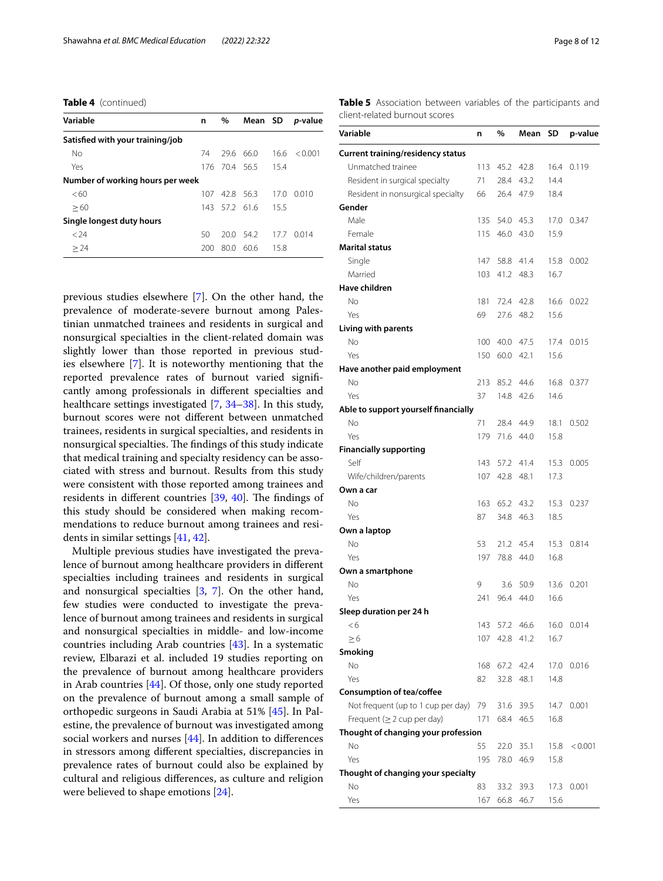**Table 4** (continued)

| Variable                         | n    | $\%$          |           |      | Mean SD p-value |
|----------------------------------|------|---------------|-----------|------|-----------------|
| Satisfied with your training/job |      |               |           |      |                 |
| No                               | 74   |               | 29.6 66.0 | 16.6 | < 0.001         |
| Yes                              |      | 176 70.4 56.5 |           | 15.4 |                 |
| Number of working hours per week |      |               |           |      |                 |
| <60                              | 107  | 42.8 56.3     |           | 17.0 | 0.010           |
| >60                              | 143  |               | 57.2 61.6 | 15.5 |                 |
| Single longest duty hours        |      |               |           |      |                 |
| < 24                             | 50   |               | 20.0 54.2 | 17.7 | 0.014           |
| > 24                             | 200. | 80.0          | 60.6      | 15.8 |                 |

previous studies elsewhere [\[7](#page-10-4)]. On the other hand, the prevalence of moderate-severe burnout among Palestinian unmatched trainees and residents in surgical and nonsurgical specialties in the client-related domain was slightly lower than those reported in previous studies elsewhere [\[7](#page-10-4)]. It is noteworthy mentioning that the reported prevalence rates of burnout varied signifcantly among professionals in diferent specialties and healthcare settings investigated [\[7](#page-10-4), [34](#page-11-22)[–38](#page-11-23)]. In this study, burnout scores were not diferent between unmatched trainees, residents in surgical specialties, and residents in nonsurgical specialties. The findings of this study indicate that medical training and specialty residency can be associated with stress and burnout. Results from this study were consistent with those reported among trainees and residents in different countries  $[39, 40]$  $[39, 40]$  $[39, 40]$ . The findings of this study should be considered when making recommendations to reduce burnout among trainees and residents in similar settings [\[41,](#page-11-26) [42](#page-11-27)].

Multiple previous studies have investigated the prevalence of burnout among healthcare providers in diferent specialties including trainees and residents in surgical and nonsurgical specialties [[3,](#page-10-8) [7\]](#page-10-4). On the other hand, few studies were conducted to investigate the prevalence of burnout among trainees and residents in surgical and nonsurgical specialties in middle- and low-income countries including Arab countries [[43\]](#page-11-28). In a systematic review, Elbarazi et al. included 19 studies reporting on the prevalence of burnout among healthcare providers in Arab countries [\[44](#page-11-29)]. Of those, only one study reported on the prevalence of burnout among a small sample of orthopedic surgeons in Saudi Arabia at 51% [[45](#page-11-30)]. In Palestine, the prevalence of burnout was investigated among social workers and nurses [[44\]](#page-11-29). In addition to diferences in stressors among diferent specialties, discrepancies in prevalence rates of burnout could also be explained by cultural and religious diferences, as culture and religion were believed to shape emotions [[24\]](#page-11-13).

<span id="page-7-0"></span>**Table 5** Association between variables of the participants and client-related burnout scores

| Variable                                 | n   | %    | Mean      | SD   | p-value    |
|------------------------------------------|-----|------|-----------|------|------------|
| <b>Current training/residency status</b> |     |      |           |      |            |
| Unmatched trainee                        | 113 | 45.2 | 42.8      | 16.4 | 0.119      |
| Resident in surgical specialty           | 71  | 28.4 | 43.2      | 14.4 |            |
| Resident in nonsurgical specialty        | 66  | 26.4 | 47.9      | 18.4 |            |
| Gender                                   |     |      |           |      |            |
| Male                                     | 135 | 54.0 | 45.3      | 17.0 | 0.347      |
| Female                                   | 115 | 46.0 | 43.0      | 15.9 |            |
| <b>Marital status</b>                    |     |      |           |      |            |
| Single                                   | 147 |      | 58.8 41.4 | 15.8 | 0.002      |
| Married                                  | 103 | 41.2 | 48.3      | 16.7 |            |
| Have children                            |     |      |           |      |            |
| No                                       | 181 |      | 72.4 42.8 | 16.6 | 0.022      |
| Yes                                      | 69  | 27.6 | 48.2      | 15.6 |            |
| Living with parents                      |     |      |           |      |            |
| No                                       | 100 | 40.0 | 47.5      | 17.4 | 0.015      |
| Yes                                      | 150 | 60.0 | 42.1      | 15.6 |            |
| Have another paid employment             |     |      |           |      |            |
| No                                       | 213 |      | 85.2 44.6 | 16.8 | 0.377      |
| Yes                                      | 37  | 14.8 | 42.6      | 14.6 |            |
| Able to support yourself financially     |     |      |           |      |            |
| No                                       | 71  | 28.4 | 44.9      | 18.1 | 0.502      |
| Yes                                      | 179 | 71.6 | 44.0      | 15.8 |            |
| <b>Financially supporting</b>            |     |      |           |      |            |
| Self                                     | 143 | 57.2 | 41.4      | 15.3 | 0.005      |
| Wife/children/parents                    | 107 | 42.8 | 48.1      | 17.3 |            |
| Own a car                                |     |      |           |      |            |
| No                                       | 163 | 65.2 | 43.2      | 15.3 | 0.237      |
| Yes                                      | 87  | 34.8 | 46.3      | 18.5 |            |
|                                          |     |      |           |      |            |
| Own a laptop                             |     |      |           |      |            |
| No                                       | 53  | 21.2 | 45.4      | 15.3 | 0.814      |
| Yes                                      | 197 | 78.8 | 44.0      | 16.8 |            |
| Own a smartphone                         |     |      |           |      |            |
| No                                       | 9   | 3.6  | 50.9      | 13.6 | 0.201      |
| Yes                                      | 241 | 96.4 | 44.0      | 16.6 |            |
| Sleep duration per 24 h                  |     |      |           |      |            |
| $<$ 6                                    | 143 | 57.2 | 46.6      |      | 16.0 0.014 |
| $\geq 6$                                 | 107 | 42.8 | 41.2      | 16.7 |            |
| Smoking                                  |     |      |           |      |            |
| No                                       | 168 | 67.2 | 42.4      | 17.0 | 0.016      |
| Yes                                      | 82  | 32.8 | 48.1      | 14.8 |            |
| Consumption of tea/coffee                |     |      |           |      |            |
| Not frequent (up to 1 cup per day)       | 79  | 31.6 | 39.5      | 14.7 | 0.001      |
| Frequent ( $\geq$ 2 cup per day)         | 171 | 68.4 | 46.5      | 16.8 |            |
| Thought of changing your profession      |     |      |           |      |            |
| No                                       | 55  | 22.0 | 35.1      | 15.8 | < 0.001    |
| Yes                                      | 195 | 78.0 | 46.9      | 15.8 |            |
| Thought of changing your specialty       |     |      |           |      |            |
| No                                       | 83  | 33.2 | 39.3      | 17.3 | 0.001      |
| Yes                                      | 167 | 66.8 | 46.7      | 15.6 |            |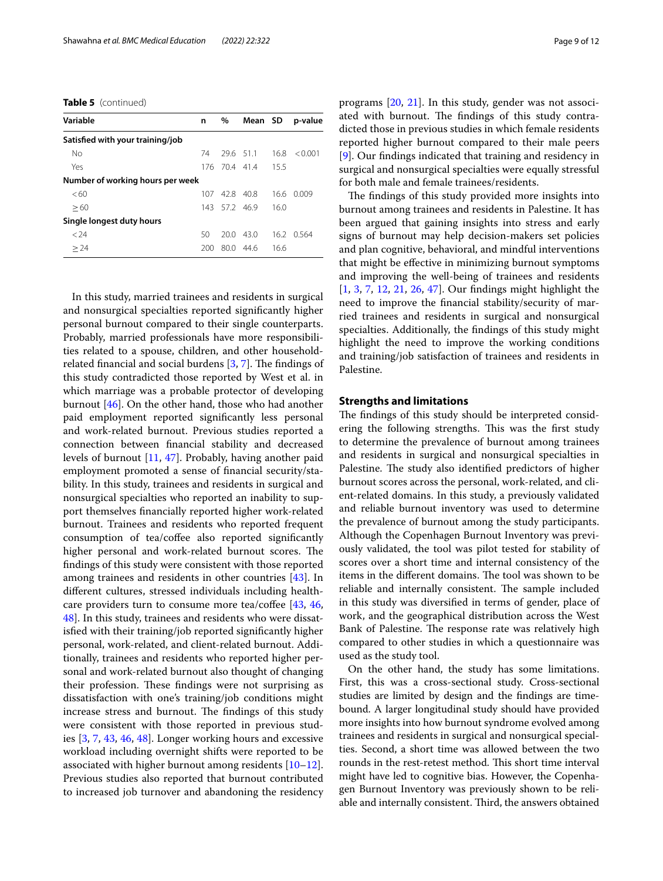**Table 5** (continued)

| Variable                         | n    | $\%$        | Mean SD   |      | p-value |
|----------------------------------|------|-------------|-----------|------|---------|
| Satisfied with your training/job |      |             |           |      |         |
| No                               | 74   |             | 29.6 51.1 | 16.8 | < 0.001 |
| Yes                              |      | 176 704 414 |           | 15.5 |         |
| Number of working hours per week |      |             |           |      |         |
| <60                              | 107. | 428         | - 40.8    | 16.6 | 0.009   |
| >60                              | 143  |             | 57.2 46.9 | 16.0 |         |
| Single longest duty hours        |      |             |           |      |         |
| < 24                             | 50   | 20 O        | 43.0      | 16.2 | 0.564   |
| > 24                             | 200  |             | 80.0 44.6 | 16.6 |         |

In this study, married trainees and residents in surgical and nonsurgical specialties reported signifcantly higher personal burnout compared to their single counterparts. Probably, married professionals have more responsibilities related to a spouse, children, and other householdrelated financial and social burdens  $[3, 7]$  $[3, 7]$  $[3, 7]$  $[3, 7]$  $[3, 7]$ . The findings of this study contradicted those reported by West et al. in which marriage was a probable protector of developing burnout [\[46\]](#page-11-31). On the other hand, those who had another paid employment reported signifcantly less personal and work-related burnout. Previous studies reported a connection between fnancial stability and decreased levels of burnout [\[11](#page-11-1), [47](#page-11-32)]. Probably, having another paid employment promoted a sense of fnancial security/stability. In this study, trainees and residents in surgical and nonsurgical specialties who reported an inability to support themselves fnancially reported higher work-related burnout. Trainees and residents who reported frequent consumption of tea/coffee also reported significantly higher personal and work-related burnout scores. The fndings of this study were consistent with those reported among trainees and residents in other countries [\[43](#page-11-28)]. In diferent cultures, stressed individuals including healthcare providers turn to consume more tea/coffee  $[43, 46, 46]$  $[43, 46, 46]$  $[43, 46, 46]$  $[43, 46, 46]$ [48\]](#page-11-33). In this study, trainees and residents who were dissatisfed with their training/job reported signifcantly higher personal, work-related, and client-related burnout. Additionally, trainees and residents who reported higher personal and work-related burnout also thought of changing their profession. These findings were not surprising as dissatisfaction with one's training/job conditions might increase stress and burnout. The findings of this study were consistent with those reported in previous studies [[3,](#page-10-8) [7](#page-10-4), [43](#page-11-28), [46](#page-11-31), [48\]](#page-11-33). Longer working hours and excessive workload including overnight shifts were reported to be associated with higher burnout among residents  $[10-12]$  $[10-12]$  $[10-12]$ . Previous studies also reported that burnout contributed to increased job turnover and abandoning the residency programs [[20](#page-11-34), [21\]](#page-11-10). In this study, gender was not associated with burnout. The findings of this study contradicted those in previous studies in which female residents reported higher burnout compared to their male peers [[9\]](#page-10-6). Our fndings indicated that training and residency in surgical and nonsurgical specialties were equally stressful for both male and female trainees/residents.

The findings of this study provided more insights into burnout among trainees and residents in Palestine. It has been argued that gaining insights into stress and early signs of burnout may help decision-makers set policies and plan cognitive, behavioral, and mindful interventions that might be efective in minimizing burnout symptoms and improving the well-being of trainees and residents [[1,](#page-10-0) [3](#page-10-8), [7](#page-10-4), [12,](#page-11-2) [21,](#page-11-10) [26,](#page-11-15) [47](#page-11-32)]. Our fndings might highlight the need to improve the fnancial stability/security of married trainees and residents in surgical and nonsurgical specialties. Additionally, the fndings of this study might highlight the need to improve the working conditions and training/job satisfaction of trainees and residents in Palestine.

## **Strengths and limitations**

The findings of this study should be interpreted considering the following strengths. This was the first study to determine the prevalence of burnout among trainees and residents in surgical and nonsurgical specialties in Palestine. The study also identified predictors of higher burnout scores across the personal, work-related, and client-related domains. In this study, a previously validated and reliable burnout inventory was used to determine the prevalence of burnout among the study participants. Although the Copenhagen Burnout Inventory was previously validated, the tool was pilot tested for stability of scores over a short time and internal consistency of the items in the different domains. The tool was shown to be reliable and internally consistent. The sample included in this study was diversifed in terms of gender, place of work, and the geographical distribution across the West Bank of Palestine. The response rate was relatively high compared to other studies in which a questionnaire was used as the study tool.

On the other hand, the study has some limitations. First, this was a cross-sectional study. Cross-sectional studies are limited by design and the fndings are timebound. A larger longitudinal study should have provided more insights into how burnout syndrome evolved among trainees and residents in surgical and nonsurgical specialties. Second, a short time was allowed between the two rounds in the rest-retest method. This short time interval might have led to cognitive bias. However, the Copenhagen Burnout Inventory was previously shown to be reliable and internally consistent. Third, the answers obtained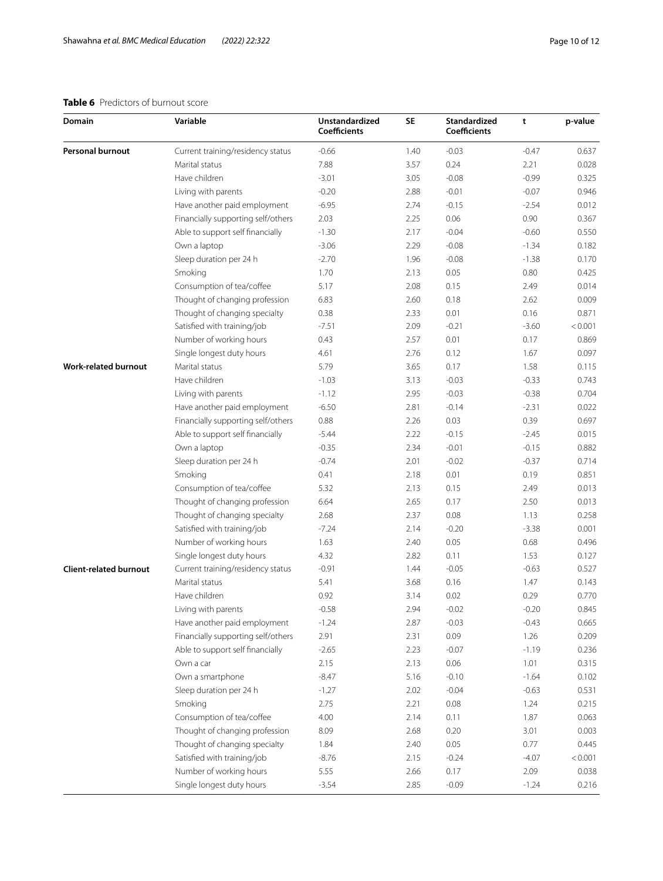## <span id="page-9-0"></span>**Table 6** Predictors of burnout score

| Domain                        | Variable                           | <b>Unstandardized</b><br><b>Coefficients</b> | <b>SE</b> | <b>Standardized</b><br><b>Coefficients</b> | t       | p-value |
|-------------------------------|------------------------------------|----------------------------------------------|-----------|--------------------------------------------|---------|---------|
| Personal burnout              | Current training/residency status  | $-0.66$                                      | 1.40      | $-0.03$                                    | $-0.47$ | 0.637   |
|                               | Marital status                     | 7.88                                         | 3.57      | 0.24                                       | 2.21    | 0.028   |
|                               | Have children                      | $-3.01$                                      | 3.05      | $-0.08$                                    | $-0.99$ | 0.325   |
|                               | Living with parents                | $-0.20$                                      | 2.88      | $-0.01$                                    | $-0.07$ | 0.946   |
|                               | Have another paid employment       | $-6.95$                                      | 2.74      | $-0.15$                                    | $-2.54$ | 0.012   |
|                               | Financially supporting self/others | 2.03                                         | 2.25      | 0.06                                       | 0.90    | 0.367   |
|                               | Able to support self financially   | $-1.30$                                      | 2.17      | $-0.04$                                    | $-0.60$ | 0.550   |
|                               | Own a laptop                       | $-3.06$                                      | 2.29      | $-0.08$                                    | $-1.34$ | 0.182   |
|                               | Sleep duration per 24 h            | $-2.70$                                      | 1.96      | $-0.08$                                    | $-1.38$ | 0.170   |
|                               | Smoking                            | 1.70                                         | 2.13      | 0.05                                       | 0.80    | 0.425   |
|                               | Consumption of tea/coffee          | 5.17                                         | 2.08      | 0.15                                       | 2.49    | 0.014   |
|                               | Thought of changing profession     | 6.83                                         | 2.60      | 0.18                                       | 2.62    | 0.009   |
|                               | Thought of changing specialty      | 0.38                                         | 2.33      | 0.01                                       | 0.16    | 0.871   |
|                               | Satisfied with training/job        | $-7.51$                                      | 2.09      | $-0.21$                                    | $-3.60$ | < 0.001 |
|                               | Number of working hours            | 0.43                                         | 2.57      | 0.01                                       | 0.17    | 0.869   |
|                               | Single longest duty hours          | 4.61                                         | 2.76      | 0.12                                       | 1.67    | 0.097   |
| <b>Work-related burnout</b>   | Marital status                     | 5.79                                         | 3.65      | 0.17                                       | 1.58    | 0.115   |
|                               | Have children                      | $-1.03$                                      | 3.13      | $-0.03$                                    | $-0.33$ | 0.743   |
|                               | Living with parents                | $-1.12$                                      | 2.95      | $-0.03$                                    | $-0.38$ | 0.704   |
|                               | Have another paid employment       | $-6.50$                                      | 2.81      | $-0.14$                                    | $-2.31$ | 0.022   |
|                               | Financially supporting self/others | 0.88                                         | 2.26      | 0.03                                       | 0.39    | 0.697   |
|                               | Able to support self financially   | $-5.44$                                      | 2.22      | $-0.15$                                    | $-2.45$ | 0.015   |
|                               | Own a laptop                       | $-0.35$                                      | 2.34      | $-0.01$                                    | $-0.15$ | 0.882   |
|                               | Sleep duration per 24 h            | $-0.74$                                      | 2.01      | $-0.02$                                    | $-0.37$ | 0.714   |
|                               | Smoking                            | 0.41                                         | 2.18      | 0.01                                       | 0.19    | 0.851   |
|                               | Consumption of tea/coffee          | 5.32                                         | 2.13      | 0.15                                       | 2.49    | 0.013   |
|                               | Thought of changing profession     | 6.64                                         | 2.65      | 0.17                                       | 2.50    | 0.013   |
|                               | Thought of changing specialty      | 2.68                                         | 2.37      | 0.08                                       | 1.13    | 0.258   |
|                               | Satisfied with training/job        | $-7.24$                                      | 2.14      | $-0.20$                                    | $-3.38$ | 0.001   |
|                               | Number of working hours            | 1.63                                         | 2.40      | 0.05                                       | 0.68    | 0.496   |
|                               | Single longest duty hours          | 4.32                                         | 2.82      | 0.11                                       | 1.53    | 0.127   |
| <b>Client-related burnout</b> | Current training/residency status  | $-0.91$                                      | 1.44      | $-0.05$                                    | $-0.63$ | 0.527   |
|                               | Marital status                     | 5.41                                         | 3.68      | 0.16                                       | 1.47    | 0.143   |
|                               | Have children                      | 0.92                                         | 3.14      | 0.02                                       | 0.29    | 0.770   |
|                               | Living with parents                | $-0.58$                                      | 2.94      | $-0.02$                                    | $-0.20$ | 0.845   |
|                               | Have another paid employment       | $-1.24$                                      | 2.87      | $-0.03$                                    | $-0.43$ | 0.665   |
|                               | Financially supporting self/others | 2.91                                         | 2.31      | 0.09                                       | 1.26    | 0.209   |
|                               | Able to support self financially   | $-2.65$                                      | 2.23      | $-0.07$                                    | $-1.19$ | 0.236   |
|                               | Own a car                          | 2.15                                         | 2.13      | 0.06                                       | 1.01    | 0.315   |
|                               | Own a smartphone                   | $-8.47$                                      | 5.16      | $-0.10$                                    | $-1.64$ | 0.102   |
|                               | Sleep duration per 24 h            | $-1.27$                                      | 2.02      | $-0.04$                                    | $-0.63$ | 0.531   |
|                               | Smoking                            | 2.75                                         | 2.21      | 0.08                                       | 1.24    | 0.215   |
|                               | Consumption of tea/coffee          | 4.00                                         | 2.14      | 0.11                                       | 1.87    | 0.063   |
|                               | Thought of changing profession     | 8.09                                         | 2.68      | 0.20                                       | 3.01    | 0.003   |
|                               | Thought of changing specialty      | 1.84                                         | 2.40      | 0.05                                       | 0.77    | 0.445   |
|                               | Satisfied with training/job        | $-8.76$                                      | 2.15      | $-0.24$                                    | $-4.07$ | < 0.001 |
|                               | Number of working hours            | 5.55                                         | 2.66      | 0.17                                       | 2.09    | 0.038   |
|                               | Single longest duty hours          | $-3.54$                                      | 2.85      | $-0.09$                                    | $-1.24$ | 0.216   |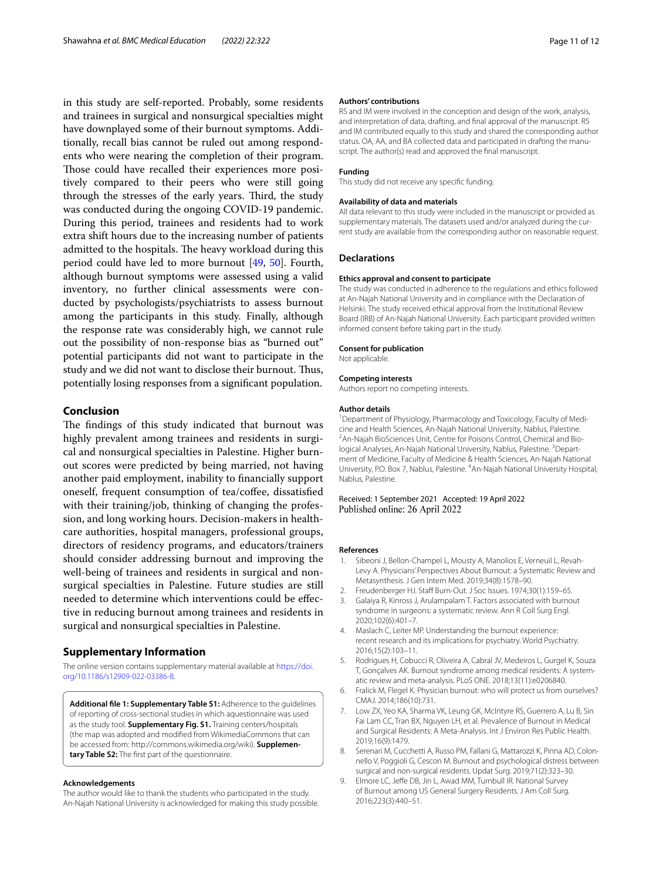in this study are self-reported. Probably, some residents and trainees in surgical and nonsurgical specialties might have downplayed some of their burnout symptoms. Additionally, recall bias cannot be ruled out among respondents who were nearing the completion of their program. Those could have recalled their experiences more positively compared to their peers who were still going through the stresses of the early years. Third, the study was conducted during the ongoing COVID-19 pandemic. During this period, trainees and residents had to work extra shift hours due to the increasing number of patients admitted to the hospitals. The heavy workload during this period could have led to more burnout [[49,](#page-11-35) [50\]](#page-11-36). Fourth, although burnout symptoms were assessed using a valid inventory, no further clinical assessments were conducted by psychologists/psychiatrists to assess burnout among the participants in this study. Finally, although the response rate was considerably high, we cannot rule out the possibility of non-response bias as "burned out" potential participants did not want to participate in the study and we did not want to disclose their burnout. Thus, potentially losing responses from a signifcant population.

## **Conclusion**

The findings of this study indicated that burnout was highly prevalent among trainees and residents in surgical and nonsurgical specialties in Palestine. Higher burnout scores were predicted by being married, not having another paid employment, inability to fnancially support oneself, frequent consumption of tea/coffee, dissatisfied with their training/job, thinking of changing the profession, and long working hours. Decision-makers in healthcare authorities, hospital managers, professional groups, directors of residency programs, and educators/trainers should consider addressing burnout and improving the well-being of trainees and residents in surgical and nonsurgical specialties in Palestine. Future studies are still needed to determine which interventions could be efective in reducing burnout among trainees and residents in surgical and nonsurgical specialties in Palestine.

## **Supplementary Information**

The online version contains supplementary material available at [https://doi.](https://doi.org/10.1186/s12909-022-03386-8) [org/10.1186/s12909-022-03386-8](https://doi.org/10.1186/s12909-022-03386-8).

<span id="page-10-7"></span>**Additional fle 1: Supplementary Table S1:** Adherence to the guidelines of reporting of cross-sectional studies in which aquestionnaire was used as the study tool. **Supplementary Fig. S1.** Training centers/hospitals (the map was adopted and modifed from WikimediaCommons that can be accessed from: http://commons.wikimedia.org/wiki). **Supplementary Table S2:** The frst part of the questionnaire.

#### **Acknowledgements**

The author would like to thank the students who participated in the study. An-Najah National University is acknowledged for making this study possible.

#### **Authors' contributions**

RS and IM were involved in the conception and design of the work, analysis, and interpretation of data, drafting, and fnal approval of the manuscript. RS and IM contributed equally to this study and shared the corresponding author status. OA, AA, and BA collected data and participated in drafting the manuscript. The author(s) read and approved the fnal manuscript.

#### **Funding**

This study did not receive any specifc funding.

#### **Availability of data and materials**

All data relevant to this study were included in the manuscript or provided as supplementary materials. The datasets used and/or analyzed during the current study are available from the corresponding author on reasonable request.

#### **Declarations**

#### **Ethics approval and consent to participate**

The study was conducted in adherence to the regulations and ethics followed at An-Najah National University and in compliance with the Declaration of Helsinki. The study received ethical approval from the Institutional Review Board (IRB) of An-Najah National University. Each participant provided written informed consent before taking part in the study.

#### **Consent for publication**

Not applicable.

#### **Competing interests**

Authors report no competing interests.

#### **Author details**

<sup>1</sup> Department of Physiology, Pharmacology and Toxicology, Faculty of Medicine and Health Sciences, An-Najah National University, Nablus, Palestine. 2 <sup>2</sup> An-Najah BioSciences Unit, Centre for Poisons Control, Chemical and Biological Analyses, An-Najah National University, Nablus, Palestine. <sup>3</sup> Department of Medicine, Faculty of Medicine & Health Sciences, An-Najah National University, P.O. Box 7, Nablus, Palestine. <sup>4</sup> An-Najah National University Hospital, Nablus, Palestine.

Received: 1 September 2021 Accepted: 19 April 2022 Published online: 26 April 2022

#### **References**

- <span id="page-10-0"></span>1. Sibeoni J, Bellon-Champel L, Mousty A, Manolios E, Verneuil L, Revah-Levy A. Physicians' Perspectives About Burnout: a Systematic Review and Metasynthesis. J Gen Intern Med. 2019;34(8):1578–90.
- <span id="page-10-1"></span>2. Freudenberger HJ. Staff Burn-Out. J Soc Issues. 1974;30(1):159-65.
- <span id="page-10-8"></span>3. Galaiya R, Kinross J, Arulampalam T. Factors associated with burnout syndrome in surgeons: a systematic review. Ann R Coll Surg Engl. 2020;102(6):401–7.
- 4. Maslach C, Leiter MP. Understanding the burnout experience: recent research and its implications for psychiatry. World Psychiatry. 2016;15(2):103–11.
- <span id="page-10-2"></span>5. Rodrigues H, Cobucci R, Oliveira A, Cabral JV, Medeiros L, Gurgel K, Souza T, Gonçalves AK. Burnout syndrome among medical residents: A system‑ atic review and meta-analysis. PLoS ONE. 2018;13(11):e0206840.
- <span id="page-10-3"></span>6. Fralick M, Flegel K. Physician burnout: who will protect us from ourselves? CMAJ. 2014;186(10):731.
- <span id="page-10-4"></span>7. Low ZX, Yeo KA, Sharma VK, Leung GK, McIntyre RS, Guerrero A, Lu B, Sin Fai Lam CC, Tran BX, Nguyen LH, et al. Prevalence of Burnout in Medical and Surgical Residents: A Meta-Analysis. Int J Environ Res Public Health. 2019;16(9):1479.
- <span id="page-10-5"></span>8. Serenari M, Cucchetti A, Russo PM, Fallani G, Mattarozzi K, Pinna AD, Colonnello V, Poggioli G, Cescon M. Burnout and psychological distress between surgical and non-surgical residents. Updat Surg. 2019;71(2):323–30.
- <span id="page-10-6"></span>9. Elmore LC, Jeffe DB, Jin L, Awad MM, Turnbull IR. National Survey of Burnout among US General Surgery Residents. J Am Coll Surg. 2016;223(3):440–51.